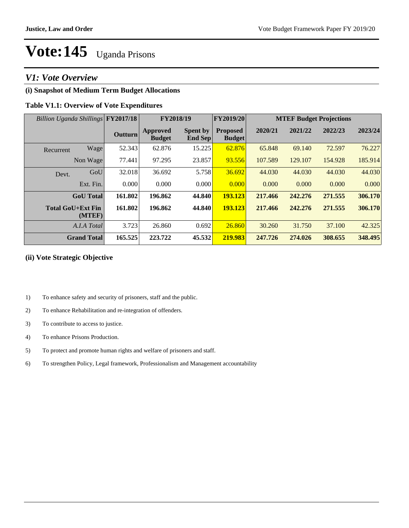## *V1: Vote Overview*

## **(i) Snapshot of Medium Term Budget Allocations**

## **Table V1.1: Overview of Vote Expenditures**

| Billion Uganda Shillings FY2017/18 |                    |         |                                  | FY2019/20<br>FY2018/19            |                                  |         | <b>MTEF Budget Projections</b> |         |         |
|------------------------------------|--------------------|---------|----------------------------------|-----------------------------------|----------------------------------|---------|--------------------------------|---------|---------|
|                                    |                    | Outturn | <b>Approved</b><br><b>Budget</b> | <b>Spent by</b><br><b>End Sep</b> | <b>Proposed</b><br><b>Budget</b> | 2020/21 | 2021/22                        | 2022/23 | 2023/24 |
| Recurrent                          | Wage               | 52.343  | 62.876                           | 15.225                            | 62.876                           | 65.848  | 69.140                         | 72.597  | 76.227  |
|                                    | Non Wage           | 77.441  | 97.295                           | 23.857                            | 93.556                           | 107.589 | 129.107                        | 154.928 | 185.914 |
| Devt.                              | GoU                | 32.018  | 36.692                           | 5.758                             | 36.692                           | 44.030  | 44.030                         | 44.030  | 44.030  |
|                                    | Ext. Fin.          | 0.000   | 0.000                            | 0.000                             | 0.000                            | 0.000   | 0.000                          | 0.000   | 0.000   |
|                                    | <b>GoU</b> Total   | 161.802 | 196.862                          | 44.840                            | 193.123                          | 217.466 | 242.276                        | 271.555 | 306.170 |
| <b>Total GoU+Ext Fin</b>           | (MTEF)             | 161.802 | 196.862                          | 44.840                            | 193.123                          | 217.466 | 242.276                        | 271.555 | 306.170 |
|                                    | A.I.A Total        | 3.723   | 26.860                           | 0.692                             | 26.860                           | 30.260  | 31.750                         | 37.100  | 42.325  |
|                                    | <b>Grand Total</b> | 165.525 | 223.722                          | 45.532                            | 219.983                          | 247.726 | 274.026                        | 308.655 | 348.495 |

### **(ii) Vote Strategic Objective**

- 1) To enhance safety and security of prisoners, staff and the public.
- 2) To enhance Rehabilitation and re-integration of offenders.
- 3) To contribute to access to justice.
- 4) To enhance Prisons Production.
- 5) To protect and promote human rights and welfare of prisoners and staff.
- 6)To strengthen Policy, Legal framework, Professionalism and Management accountability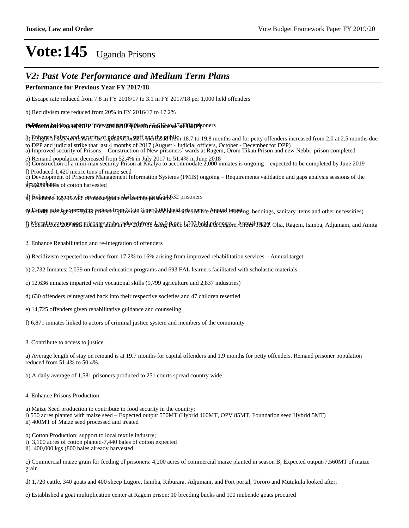## *V2: Past Vote Performance and Medium Term Plans*

### **Performance for Previous Year FY 2017/18**

a) Escape rate reduced from 7.8 in FY 2016/17 to 3.1 in FY 2017/18 per 1,000 held offenders

b) Recidivism rate reduced from 20% in FY 2016/17 to 17.2%

### **Performance as opBFP iFY=2018/1968 (Ferformance as 76f8) pp**oners

d) Enhance Safety and security of appears the fact the angle is 18.7 to 19.8 months and for petty offenders increased from 2.0 at 2.5 months due

to DPP and judicial strike that last 4 months of 2017 (August - Judicial officers, October - December for DPP)<br>a) Improved security of Prisons; - Construction of New prisoners' wards at Ragem, Orom Tikau Prison and new Neb

e) Remand population decreased from 52.4% in July 2017 to 51.4% in June 2018<br>b) Construction of a mini-max security Prison at Kitalya to accommodate 2,000 inmates is ongoing – expected to be completed by June 2019 f) Produced 1,420 metric tons of maize seed

gesign phanes of cotton harvested c) Development of Prisoners Management Information Systems (PMIS) ongoing - Requirements validation and gaps analysis sessions of the

h) Produced 12,799 MT of maize grain for feeding prisoners d) Enhanced security by incarcerating a daily average of 54,632 prisoners

B) Estang raterises ursyed to prisone from vidde wnn basiled arries write Aneun! trunning, beddings, sanitary items and other necessities)

f) <del>Mortalitv</del>eatgomsaar nuasnegatudsensekrozd*tro*ra lemo foree bolAcesth pris pago<sub>re</sub>, on wal takat, Olia, Ragem, Isimba, Adjumani, and Amita

2. Enhance Rehabilitation and re-integration of offenders

a) Recidivism expected to reduce from 17.2% to 16% arising from improved rehabilitation services - Annual target

b) 2,732 Inmates; 2,039 on formal education programs and 693 FAL learners facilitated with scholastic materials

c) 12,636 inmates imparted with vocational skills (9,799 agriculture and 2,837 industries)

d) 630 offenders reintegrated back into their respective societies and 47 children resettled

e) 14,725 offenders given rehabilitative guidance and counseling

f) 6,871 inmates linked to actors of criminal justice system and members of the community

3. Contribute to access to justice.

a) Average length of stay on remand is at 19.7 months for capital offenders and 1.9 months for petty offenders. Remand prisoner population reduced from 51.4% to 50.4%.

b) A daily average of 1,581 prisoners produced to 251 courts spread country wide.

#### 4. Enhance Prisons Production

a) Maize Seed production to contribute to food security in the country; i) 550 acres planted with maize seed - Expected output 550MT (Hybrid 460MT, OPV 85MT, Foundation seed Hybrid 5MT) ii) 400MT of Maize seed processed and treated

- b) Cotton Production: support to local textile industry;
- i) 3,100 acres of cotton planted-7,440 bales of cotton expected

ii) 400,000 kgs (800 bales already harvested.

c) Commercial maize grain for feeding of prisoners: 4,200 acres of commercial maize planted in season B; Expected output-7,560MT of maize grain

d) 1,720 cattle, 340 goats and 400 sheep Lugore, Isimba, Kiburara, Adjumani, and Fort portal, Tororo and Mutukula looked after;

e) Established a goat multiplication center at Ragem prison: 10 breeding bucks and 100 mubende goats procured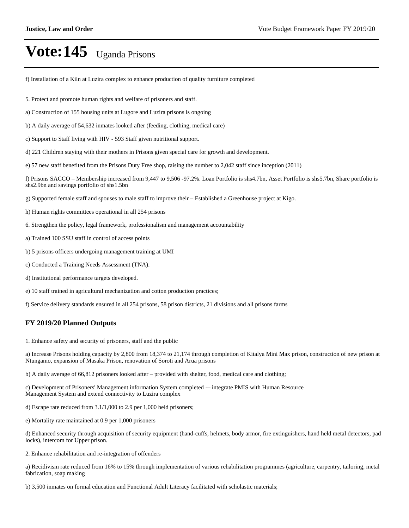f) Installation of a Kiln at Luzira complex to enhance production of quality furniture completed

- 5. Protect and promote human rights and welfare of prisoners and staff.
- a) Construction of 155 housing units at Lugore and Luzira prisons is ongoing
- b) A daily average of 54,632 inmates looked after (feeding, clothing, medical care)
- c) Support to Staff living with HIV 593 Staff given nutritional support.
- d) 221 Children staying with their mothers in Prisons given special care for growth and development.
- e) 57 new staff benefited from the Prisons Duty Free shop, raising the number to 2,042 staff since inception (2011)

f) Prisons SACCO - Membership increased from 9,447 to 9,506 -97.2%. Loan Portfolio is shs4.7bn, Asset Portfolio is shs5.7bn, Share portfolio is shs2.9bn and savings portfolio of shs1.5bn

- g) Supported female staff and spouses to male staff to improve their Established a Greenhouse project at Kigo.
- h) Human rights committees operational in all 254 prisons
- 6. Strengthen the policy, legal framework, professionalism and management accountability
- a) Trained 100 SSU staff in control of access points
- b) 5 prisons officers undergoing management training at UMI
- c) Conducted a Training Needs Assessment (TNA).
- d) Institutional performance targets developed.
- e) 10 staff trained in agricultural mechanization and cotton production practices;
- f) Service delivery standards ensured in all 254 prisons, 58 prison districts, 21 divisions and all prisons farms

### **FY 2019/20 Planned Outputs**

1. Enhance safety and security of prisoners, staff and the public

a) Increase Prisons holding capacity by 2,800 from 18,374 to 21,174 through completion of Kitalya Mini Max prison, construction of new prison at Ntungamo, expansion of Masaka Prison, renovation of Soroti and Arua prisons

b) A daily average of 66,812 prisoners looked after – provided with shelter, food, medical care and clothing;

c) Development of Prisoners' Management information System completed — integrate PMIS with Human Resource Management System and extend connectivity to Luzira complex

d) Escape rate reduced from 3.1/1,000 to 2.9 per 1,000 held prisoners;

e) Mortality rate maintained at 0.9 per 1,000 prisoners

d) Enhanced security through acquisition of security equipment (hand-cuffs, helmets, body armor, fire extinguishers, hand held metal detectors, pad locks), intercom for Upper prison.

2. Enhance rehabilitation and re-integration of offenders

a) Recidivism rate reduced from 16% to 15% through implementation of various rehabilitation programmes (agriculture, carpentry, tailoring, metal fabrication, soap making

b) 3,500 inmates on formal education and Functional Adult Literacy facilitated with scholastic materials;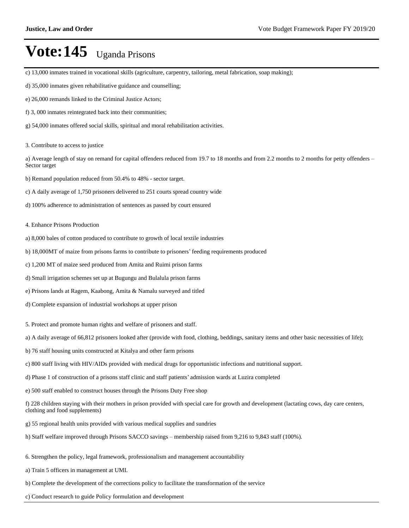- c) 13,000 inmates trained in vocational skills (agriculture, carpentry, tailoring, metal fabrication, soap making);
- d) 35,000 inmates given rehabilitative guidance and counselling;
- e) 26,000 remands linked to the Criminal Justice Actors;
- f) 3, 000 inmates reintegrated back into their communities;
- g) 54,000 inmates offered social skills, spiritual and moral rehabilitation activities.
- 3. Contribute to access to justice

a) Average length of stay on remand for capital offenders reduced from 19.7 to 18 months and from 2.2 months to 2 months for petty offenders  $-$ Sector target

- b) Remand population reduced from 50.4% to 48% sector target.
- c) A daily average of 1,750 prisoners delivered to 251 courts spread country wide
- d) 100% adherence to administration of sentences as passed by court ensured
- 4. Enhance Prisons Production
- a) 8,000 bales of cotton produced to contribute to growth of local textile industries
- b) 18,000MT of maize from prisons farms to contribute to prisoners' feeding requirements produced
- c) 1,200 MT of maize seed produced from Amita and Ruimi prison farms
- d) Small irrigation schemes set up at Bugungu and Bulalula prison farms
- e) Prisons lands at Ragem, Kaabong, Amita & Namalu surveyed and titled
- d) Complete expansion of industrial workshops at upper prison
- 5. Protect and promote human rights and welfare of prisoners and staff.
- a) A daily average of 66,812 prisoners looked after (provide with food, clothing, beddings, sanitary items and other basic necessities of life);
- b) 76 staff housing units constructed at Kitalya and other farm prisons
- c) 800 staff living with HIV/AIDs provided with medical drugs for opportunistic infections and nutritional support.
- d) Phase 1 of construction of a prisons staff clinic and staff patients' admission wards at Luzira completed
- e) 500 staff enabled to construct houses through the Prisons Duty Free shop

f) 228 children staying with their mothers in prison provided with special care for growth and development (lactating cows, day care centers, clothing and food supplements)

- g) 55 regional health units provided with various medical supplies and sundries
- h) Staff welfare improved through Prisons SACCO savings membership raised from 9,216 to 9,843 staff (100%).
- 6. Strengthen the policy, legal framework, professionalism and management accountability
- a) Train 5 officers in management at UMI.
- b) Complete the development of the corrections policy to facilitate the transformation of the service
- c) Conduct research to guide Policy formulation and development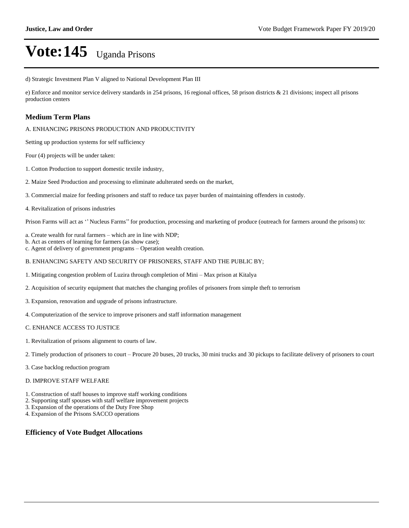d) Strategic Investment Plan V aligned to National Development Plan III

e) Enforce and monitor service delivery standards in 254 prisons, 16 regional offices, 58 prison districts & 21 divisions; inspect all prisons production centers

### **Medium Term Plans**

A. ENHANCING PRISONS PRODUCTION AND PRODUCTIVITY

Setting up production systems for self sufficiency

Four (4) projects will be under taken:

- 1. Cotton Production to support domestic textile industry,
- 2. Maize Seed Production and processing to eliminate adulterated seeds on the market,
- 3. Commercial maize for feeding prisoners and staff to reduce tax payer burden of maintaining offenders in custody.
- 4. Revitalization of prisons industries

Prison Farms will act as "Nucleus Farms" for production, processing and marketing of produce (outreach for farmers around the prisons) to:

- a. Create wealth for rural farmers which are in line with NDP;
- b. Act as centers of learning for farmers (as show case);
- c. Agent of delivery of government programs Operation wealth creation.

### B. ENHANCING SAFETY AND SECURITY OF PRISONERS, STAFF AND THE PUBLIC BY;

- 1. Mitigating congestion problem of Luzira through completion of Mini Max prison at Kitalya
- 2. Acquisition of security equipment that matches the changing profiles of prisoners from simple theft to terrorism
- 3. Expansion, renovation and upgrade of prisons infrastructure.
- 4. Computerization of the service to improve prisoners and staff information management

### C. ENHANCE ACCESS TO JUSTICE

- 1. Revitalization of prisons alignment to courts of law.
- 2. Timely production of prisoners to court Procure 20 buses, 20 trucks, 30 mini trucks and 30 pickups to facilitate delivery of prisoners to court
- 3. Case backlog reduction program

#### D. IMPROVE STAFF WELFARE

- 1. Construction of staff houses to improve staff working conditions
- 2. Supporting staff spouses with staff welfare improvement projects
- 3. Expansion of the operations of the Duty Free Shop
- 4. Expansion of the Prisons SACCO operations

### **Efficiency of Vote Budget Allocations**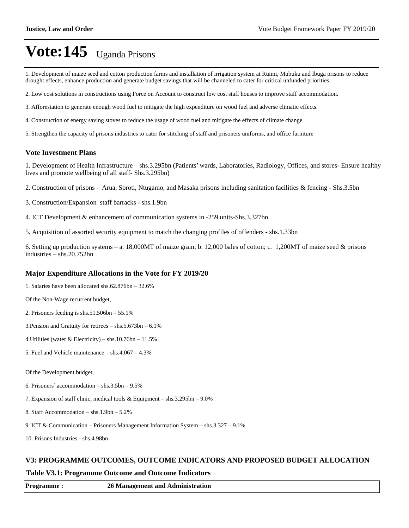- 1. Development of maize seed and cotton production farms and installation of irrigation system at Ruimi, Mubuku and Ibuga prisons to reduce drought effects, enhance production and generate budget savings that will be channeled to cater for critical unfunded priorities.
- 2. Low cost solutions in constructions using Force on Account to construct low cost staff houses to improve staff accommodation.
- 3. Afforestation to generate enough wood fuel to mitigate the high expenditure on wood fuel and adverse climatic effects.
- 4. Construction of energy saving stoves to reduce the usage of wood fuel and mitigate the effects of climate change
- 5. Strengthen the capacity of prisons industries to cater for stitching of staff and prisoners uniforms, and office furniture

### **Vote Investment Plans**

1. Development of Health Infrastructure - shs.3.295bn (Patients' wards, Laboratories, Radiology, Offices, and stores- Ensure healthy lives and promote wellbeing of all staff- Shs.3.295bn)

- 2. Construction of prisons Arua, Soroti, Ntugamo, and Masaka prisons including sanitation facilities & fencing Shs.3.5bn
- 3. Construction/Expansion staff barracks shs.1.9bn
- 4. ICT Development & enhancement of communication systems in -259 units-Shs.3.327bn
- 5. Acquisition of assorted security equipment to match the changing profiles of offenders shs.1.33bn

6. Setting up production systems  $-$ a. 18,000MT of maize grain; b. 12,000 bales of cotton; c. 1,200MT of maize seed & prisons  $industries - shs.20.752bn$ 

### **Major Expenditure Allocations in the Vote for FY 2019/20**

- 1. Salaries have been allocated shs.62.876bn  $-32.6\%$
- Of the Non-Wage recurrent budget,
- 2. Prisoners feeding is shs.51.506bn  $-55.1\%$
- 3. Pension and Gratuity for retirees  $-\,\text{shs}.5.673\,\text{bn} 6.1\%$
- 4. Utilities (water & Electricity) shs.10.76bn  $-11.5\%$
- 5. Fuel and Vehicle maintenance  $-\text{shs}.4.067 4.3\%$
- Of the Development budget,
- 6. Prisoners' accommodation  $-$  shs.3.5bn  $-9.5\%$
- 7. Expansion of staff clinic, medical tools & Equipment  $-$  shs.3.295bn  $-$  9.0%
- 8. Staff Accommodation  $-\,$ shs.1.9bn  $-5.2\%$
- 9. ICT & Communication  $-$  Prisoners Management Information System  $-$  shs.3.327  $-$  9.1%
- 10. Prisons Industries shs.4.98bn

### **V3: PROGRAMME OUTCOMES, OUTCOME INDICATORS AND PROPOSED BUDGET ALLOCATION**

### **Table V3.1: Programme Outcome and Outcome Indicators**

**Programme : 26 Management and Administration**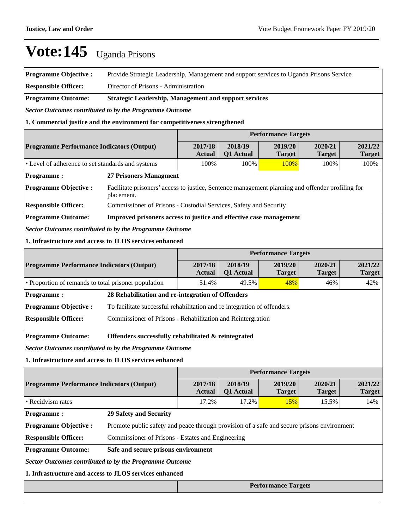| <b>Programme Objective:</b>                                                      | Provide Strategic Leadership, Management and support services to Uganda Prisons Service                                              |                          |                      |                            |                          |                          |
|----------------------------------------------------------------------------------|--------------------------------------------------------------------------------------------------------------------------------------|--------------------------|----------------------|----------------------------|--------------------------|--------------------------|
| <b>Responsible Officer:</b>                                                      | Director of Prisons - Administration                                                                                                 |                          |                      |                            |                          |                          |
| <b>Programme Outcome:</b>                                                        | <b>Strategic Leadership, Management and support services</b>                                                                         |                          |                      |                            |                          |                          |
| <b>Sector Outcomes contributed to by the Programme Outcome</b>                   |                                                                                                                                      |                          |                      |                            |                          |                          |
| 1. Commercial justice and the environment for competitiveness strengthened       |                                                                                                                                      |                          |                      |                            |                          |                          |
|                                                                                  | <b>Performance Targets</b>                                                                                                           |                          |                      |                            |                          |                          |
| <b>Programme Performance Indicators (Output)</b>                                 | 2018/19<br>2020/21<br>2021/22<br>2017/18<br>2019/20<br>Q1 Actual<br><b>Target</b><br><b>Target</b><br><b>Actual</b><br><b>Target</b> |                          |                      |                            |                          |                          |
| • Level of adherence to set standards and systems                                |                                                                                                                                      | 100%                     | 100%                 | 100%                       | 100%                     | 100%                     |
| <b>Programme:</b>                                                                | <b>27 Prisoners Managment</b>                                                                                                        |                          |                      |                            |                          |                          |
| <b>Programme Objective:</b>                                                      | Facilitate prisoners' access to justice, Sentence management planning and offender profiling for<br>placement.                       |                          |                      |                            |                          |                          |
| <b>Responsible Officer:</b>                                                      | Commissioner of Prisons - Custodial Services, Safety and Security                                                                    |                          |                      |                            |                          |                          |
| <b>Programme Outcome:</b>                                                        | Improved prisoners access to justice and effective case management                                                                   |                          |                      |                            |                          |                          |
| <b>Sector Outcomes contributed to by the Programme Outcome</b>                   |                                                                                                                                      |                          |                      |                            |                          |                          |
| 1. Infrastructure and access to JLOS services enhanced                           |                                                                                                                                      |                          |                      |                            |                          |                          |
|                                                                                  |                                                                                                                                      |                          |                      | <b>Performance Targets</b> |                          |                          |
| <b>Programme Performance Indicators (Output)</b>                                 |                                                                                                                                      | 2017/18<br><b>Actual</b> | 2018/19<br>Q1 Actual | 2019/20<br><b>Target</b>   | 2020/21<br><b>Target</b> | 2021/22<br><b>Target</b> |
| • Proportion of remands to total prisoner population                             |                                                                                                                                      | 51.4%                    | 49.5%                | 48%                        | 46%                      | 42%                      |
| <b>Programme:</b>                                                                | 28 Rehabilitation and re-integration of Offenders                                                                                    |                          |                      |                            |                          |                          |
| <b>Programme Objective:</b>                                                      | To facilitate successful rehabilitation and re integration of offenders.                                                             |                          |                      |                            |                          |                          |
| <b>Responsible Officer:</b>                                                      | Commissioner of Prisons - Rehabilitation and Reintergration                                                                          |                          |                      |                            |                          |                          |
| <b>Programme Outcome:</b>                                                        | Offenders successfully rehabilitated & reintegrated                                                                                  |                          |                      |                            |                          |                          |
| <b>Sector Outcomes contributed to by the Programme Outcome</b>                   |                                                                                                                                      |                          |                      |                            |                          |                          |
| 1. Infrastructure and access to JLOS services enhanced                           |                                                                                                                                      |                          |                      |                            |                          |                          |
|                                                                                  |                                                                                                                                      |                          |                      | <b>Performance Targets</b> |                          |                          |
| <b>Programme Performance Indicators (Output)</b>                                 |                                                                                                                                      | 2017/18<br><b>Actual</b> | 2018/19<br>Q1 Actual | 2019/20<br><b>Target</b>   | 2020/21<br><b>Target</b> | 2021/22<br><b>Target</b> |
| • Recidvism rates                                                                |                                                                                                                                      | 17.2%                    | 17.2%                | 15%                        | 15.5%                    | 14%                      |
| <b>Programme:</b>                                                                | <b>29 Safety and Security</b>                                                                                                        |                          |                      |                            |                          |                          |
| <b>Programme Objective:</b>                                                      | Promote public safety and peace through provision of a safe and secure prisons environment                                           |                          |                      |                            |                          |                          |
| <b>Responsible Officer:</b><br>Commissioner of Prisons - Estates and Engineering |                                                                                                                                      |                          |                      |                            |                          |                          |
| <b>Programme Outcome:</b><br>Safe and secure prisons environment                 |                                                                                                                                      |                          |                      |                            |                          |                          |
| <b>Sector Outcomes contributed to by the Programme Outcome</b>                   |                                                                                                                                      |                          |                      |                            |                          |                          |
| 1. Infrastructure and access to JLOS services enhanced                           |                                                                                                                                      |                          |                      |                            |                          |                          |
|                                                                                  |                                                                                                                                      |                          |                      | <b>Performance Targets</b> |                          |                          |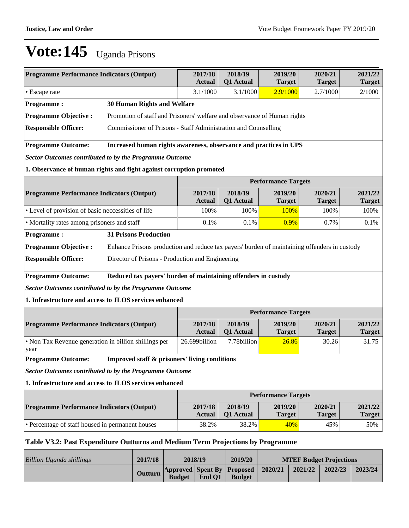| <b>Programme Performance Indicators (Output)</b><br>2017/18<br>2018/19<br>2019/20<br>2020/21<br>Q1 Actual<br><b>Actual</b><br><b>Target</b><br><b>Target</b> |                                                                                              |                          |                      |                            | <b>Target</b>            |                              |  |  |  |  |  |  |
|--------------------------------------------------------------------------------------------------------------------------------------------------------------|----------------------------------------------------------------------------------------------|--------------------------|----------------------|----------------------------|--------------------------|------------------------------|--|--|--|--|--|--|
| • Escape rate                                                                                                                                                |                                                                                              | 3.1/1000                 | 3.1/1000             | 2.9/1000                   | 2.7/1000                 | 2/1000                       |  |  |  |  |  |  |
| <b>Programme:</b>                                                                                                                                            | 30 Human Rights and Welfare                                                                  |                          |                      |                            |                          |                              |  |  |  |  |  |  |
| <b>Programme Objective:</b>                                                                                                                                  | Promotion of staff and Prisoners' welfare and observance of Human rights                     |                          |                      |                            |                          |                              |  |  |  |  |  |  |
| <b>Responsible Officer:</b>                                                                                                                                  | Commissioner of Prisons - Staff Administration and Counselling                               |                          |                      |                            |                          |                              |  |  |  |  |  |  |
| <b>Programme Outcome:</b>                                                                                                                                    | Increased human rights awareness, observance and practices in UPS                            |                          |                      |                            |                          |                              |  |  |  |  |  |  |
| <b>Sector Outcomes contributed to by the Programme Outcome</b>                                                                                               |                                                                                              |                          |                      |                            |                          |                              |  |  |  |  |  |  |
| 1. Observance of human rights and fight against corruption promoted                                                                                          |                                                                                              |                          |                      |                            |                          |                              |  |  |  |  |  |  |
|                                                                                                                                                              |                                                                                              |                          |                      | <b>Performance Targets</b> |                          |                              |  |  |  |  |  |  |
| <b>Programme Performance Indicators (Output)</b>                                                                                                             |                                                                                              | 2017/18<br><b>Actual</b> | 2018/19<br>Q1 Actual | 2019/20<br><b>Target</b>   | 2020/21<br><b>Target</b> | 2021/22<br><b>Target</b>     |  |  |  |  |  |  |
| • Level of provision of basic necessities of life                                                                                                            |                                                                                              | 100%                     | 100%                 | 100%                       | 100%                     | 100%                         |  |  |  |  |  |  |
|                                                                                                                                                              | 0.1%                                                                                         | 0.1%                     | 0.9%                 | 0.7%                       | 0.1%                     |                              |  |  |  |  |  |  |
| • Mortality rates among prisoners and staff                                                                                                                  |                                                                                              |                          |                      |                            |                          | <b>31 Prisons Production</b> |  |  |  |  |  |  |
| <b>Programme:</b>                                                                                                                                            |                                                                                              |                          |                      |                            |                          |                              |  |  |  |  |  |  |
| <b>Programme Objective:</b>                                                                                                                                  | Enhance Prisons production and reduce tax payers' burden of maintaining offenders in custody |                          |                      |                            |                          |                              |  |  |  |  |  |  |
| <b>Responsible Officer:</b>                                                                                                                                  | Director of Prisons - Production and Engineering                                             |                          |                      |                            |                          |                              |  |  |  |  |  |  |
| <b>Programme Outcome:</b>                                                                                                                                    | Reduced tax payers' burden of maintaining offenders in custody                               |                          |                      |                            |                          |                              |  |  |  |  |  |  |
| <b>Sector Outcomes contributed to by the Programme Outcome</b>                                                                                               |                                                                                              |                          |                      |                            |                          |                              |  |  |  |  |  |  |
| 1. Infrastructure and access to JLOS services enhanced                                                                                                       |                                                                                              |                          |                      |                            |                          |                              |  |  |  |  |  |  |
|                                                                                                                                                              |                                                                                              |                          |                      | <b>Performance Targets</b> |                          |                              |  |  |  |  |  |  |
| <b>Programme Performance Indicators (Output)</b>                                                                                                             |                                                                                              | 2017/18<br><b>Actual</b> | 2018/19<br>Q1 Actual | 2019/20<br><b>Target</b>   | 2020/21<br><b>Target</b> | 2021/22<br><b>Target</b>     |  |  |  |  |  |  |
| • Non Tax Revenue generation in billion shillings per<br>year                                                                                                |                                                                                              | 26.699billion            | 7.78billion          | 26.86                      | 30.26                    | 31.75                        |  |  |  |  |  |  |
| <b>Programme Outcome:</b>                                                                                                                                    | Improved staff & prisoners' living conditions                                                |                          |                      |                            |                          |                              |  |  |  |  |  |  |
|                                                                                                                                                              |                                                                                              |                          |                      |                            |                          |                              |  |  |  |  |  |  |
| Sector Outcomes contributed to by the Programme Outcome<br>1. Infrastructure and access to JLOS services enhanced                                            |                                                                                              |                          |                      |                            |                          |                              |  |  |  |  |  |  |
|                                                                                                                                                              |                                                                                              |                          |                      | <b>Performance Targets</b> |                          |                              |  |  |  |  |  |  |
| <b>Programme Performance Indicators (Output)</b>                                                                                                             |                                                                                              | 2017/18<br><b>Actual</b> | 2018/19<br>Q1 Actual | 2019/20<br><b>Target</b>   | 2020/21<br><b>Target</b> | 2021/22<br><b>Target</b>     |  |  |  |  |  |  |

| Billion Uganda shillings | 2017/18 |               | 2018/19 | 2019/20                                                |         |         | <b>MTEF Budget Projections</b> |         |
|--------------------------|---------|---------------|---------|--------------------------------------------------------|---------|---------|--------------------------------|---------|
|                          |         | <b>Budget</b> | End O1  | Outturn Approved Spent By Proposed 20<br><b>Budget</b> | 2020/21 | 2021/22 | 2022/23                        | 2023/24 |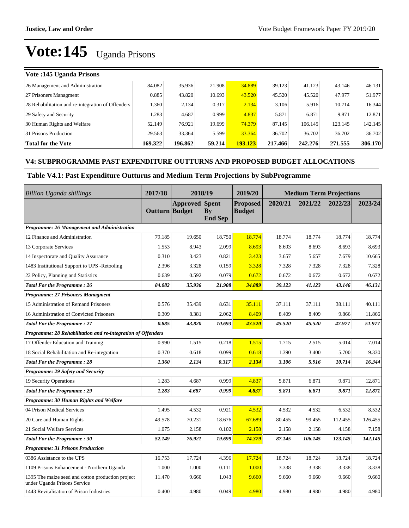| Vote: 145 Uganda Prisons                          |         |         |        |         |         |         |         |         |
|---------------------------------------------------|---------|---------|--------|---------|---------|---------|---------|---------|
| 26 Management and Administration                  | 84.082  | 35.936  | 21.908 | 34.889  | 39.123  | 41.123  | 43.146  | 46.131  |
| 27 Prisoners Managment                            | 0.885   | 43.820  | 10.693 | 43.520  | 45.520  | 45.520  | 47.977  | 51.977  |
| 28 Rehabilitation and re-integration of Offenders | .360    | 2.134   | 0.317  | 2.134   | 3.106   | 5.916   | 10.714  | 16.344  |
| 29 Safety and Security                            | .283    | 4.687   | 0.999  | 4.837   | 5.871   | 6.871   | 9.871   | 12.871  |
| 30 Human Rights and Welfare                       | 52.149  | 76.921  | 19.699 | 74.379  | 87.145  | 106.145 | 123.145 | 142.145 |
| 31 Prisons Production                             | 29.563  | 33.364  | 5.599  | 33.364  | 36.702  | 36.702  | 36.702  | 36.702  |
| Total for the Vote                                | 169.322 | 196.862 | 59.214 | 193.123 | 217.466 | 242.276 | 271.555 | 306.170 |

## **V4: SUBPROGRAMME PAST EXPENDITURE OUTTURNS AND PROPOSED BUDGET ALLOCATIONS**

## **Table V4.1: Past Expenditure Outturns and Medium Term Projections by SubProgramme**

| <b>Billion Uganda shillings</b>                                                   | 2017/18        | 2018/19               |                      | 2019/20                          |         | <b>Medium Term Projections</b> |         |         |
|-----------------------------------------------------------------------------------|----------------|-----------------------|----------------------|----------------------------------|---------|--------------------------------|---------|---------|
|                                                                                   | Outturn Budget | <b>Approved</b> Spent | By<br><b>End Sep</b> | <b>Proposed</b><br><b>Budget</b> | 2020/21 | 2021/22                        | 2022/23 | 2023/24 |
| Programme: 26 Management and Administration                                       |                |                       |                      |                                  |         |                                |         |         |
| 12 Finance and Administration                                                     | 79.185         | 19.650                | 18.750               | 18.774                           | 18.774  | 18.774                         | 18.774  | 18.774  |
| 13 Corporate Services                                                             | 1.553          | 8.943                 | 2.099                | 8.693                            | 8.693   | 8.693                          | 8.693   | 8.693   |
| 14 Inspectorate and Quality Assurance                                             | 0.310          | 3.423                 | 0.821                | 3.423                            | 3.657   | 5.657                          | 7.679   | 10.665  |
| 1483 Institutional Support to UPS -Retooling                                      | 2.396          | 3.328                 | 0.159                | 3.328                            | 7.328   | 7.328                          | 7.328   | 7.328   |
| 22 Policy, Planning and Statistics                                                | 0.639          | 0.592                 | 0.079                | 0.672                            | 0.672   | 0.672                          | 0.672   | 0.672   |
| <b>Total For the Programme: 26</b>                                                | 84.082         | 35.936                | 21.908               | 34.889                           | 39.123  | 41.123                         | 43.146  | 46.131  |
| Programme: 27 Prisoners Managment                                                 |                |                       |                      |                                  |         |                                |         |         |
| 15 Administration of Remand Prisoners                                             | 0.576          | 35.439                | 8.631                | 35.111                           | 37.111  | 37.111                         | 38.111  | 40.111  |
| 16 Administration of Convicted Prisoners                                          | 0.309          | 8.381                 | 2.062                | 8.409                            | 8.409   | 8.409                          | 9.866   | 11.866  |
| <b>Total For the Programme: 27</b>                                                | 0.885          | 43.820                | 10.693               | 43.520                           | 45.520  | 45.520                         | 47.977  | 51.977  |
| Programme: 28 Rehabilitation and re-integration of Offenders                      |                |                       |                      |                                  |         |                                |         |         |
| 17 Offender Education and Training                                                | 0.990          | 1.515                 | 0.218                | 1.515                            | 1.715   | 2.515                          | 5.014   | 7.014   |
| 18 Social Rehabilitation and Re-integration                                       | 0.370          | 0.618                 | 0.099                | 0.618                            | 1.390   | 3.400                          | 5.700   | 9.330   |
| <b>Total For the Programme: 28</b>                                                | 1.360          | 2.134                 | 0.317                | 2.134                            | 3.106   | 5.916                          | 10.714  | 16.344  |
| Programme: 29 Safety and Security                                                 |                |                       |                      |                                  |         |                                |         |         |
| 19 Security Operations                                                            | 1.283          | 4.687                 | 0.999                | 4.837                            | 5.871   | 6.871                          | 9.871   | 12.871  |
| <b>Total For the Programme: 29</b>                                                | 1.283          | 4.687                 | 0.999                | 4.837                            | 5.871   | 6.871                          | 9.871   | 12.871  |
| Programme: 30 Human Rights and Welfare                                            |                |                       |                      |                                  |         |                                |         |         |
| 04 Prison Medical Services                                                        | 1.495          | 4.532                 | 0.921                | 4.532                            | 4.532   | 4.532                          | 6.532   | 8.532   |
| 20 Care and Human Rights                                                          | 49.578         | 70.231                | 18.676               | 67.689                           | 80.455  | 99.455                         | 112.455 | 126.455 |
| 21 Social Welfare Services                                                        | 1.075          | 2.158                 | 0.102                | 2.158                            | 2.158   | 2.158                          | 4.158   | 7.158   |
| <b>Total For the Programme: 30</b>                                                | 52.149         | 76.921                | 19.699               | 74.379                           | 87.145  | 106.145                        | 123.145 | 142.145 |
| <b>Programme: 31 Prisons Production</b>                                           |                |                       |                      |                                  |         |                                |         |         |
| 0386 Assistance to the UPS                                                        | 16.753         | 17.724                | 4.396                | 17.724                           | 18.724  | 18.724                         | 18.724  | 18.724  |
| 1109 Prisons Enhancement - Northern Uganda                                        | 1.000          | 1.000                 | 0.111                | 1.000                            | 3.338   | 3.338                          | 3.338   | 3.338   |
| 1395 The maize seed and cotton production project<br>under Uganda Prisons Service | 11.470         | 9.660                 | 1.043                | 9.660                            | 9.660   | 9.660                          | 9.660   | 9.660   |
| 1443 Revitalisation of Prison Industries                                          | 0.400          | 4.980                 | 0.049                | 4.980                            | 4.980   | 4.980                          | 4.980   | 4.980   |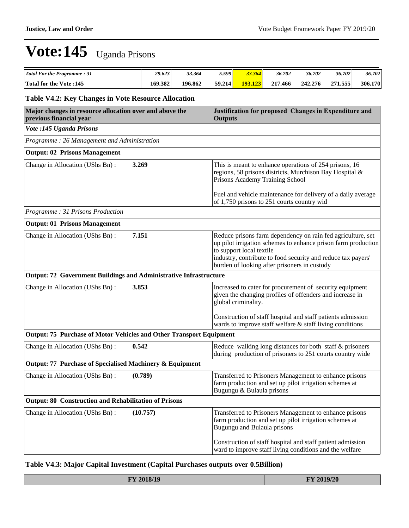| <b>Total For the Programme: 31</b> | 29.623  | 33.364  | 5.599' | 33.364  | 36.702  | 36.702  | 36.702  | 36.702  |
|------------------------------------|---------|---------|--------|---------|---------|---------|---------|---------|
| Total for the Vote :145            | 169.382 | 196.862 | 59.214 | 193.123 | 217.466 | 242.276 | 271.555 | 306.170 |

## **Table V4.2: Key Changes in Vote Resource Allocation**

| Major changes in resource allocation over and above the<br>previous financial year |          | Justification for proposed Changes in Expenditure and<br><b>Outputs</b>                                                                                                                                                                                                  |
|------------------------------------------------------------------------------------|----------|--------------------------------------------------------------------------------------------------------------------------------------------------------------------------------------------------------------------------------------------------------------------------|
| Vote :145 Uganda Prisons                                                           |          |                                                                                                                                                                                                                                                                          |
| Programme: 26 Management and Administration                                        |          |                                                                                                                                                                                                                                                                          |
| <b>Output: 02 Prisons Management</b>                                               |          |                                                                                                                                                                                                                                                                          |
| Change in Allocation (UShs Bn):                                                    | 3.269    | This is meant to enhance operations of 254 prisons, 16<br>regions, 58 prisons districts, Murchison Bay Hospital &<br>Prisons Academy Training School                                                                                                                     |
|                                                                                    |          | Fuel and vehicle maintenance for delivery of a daily average<br>of 1,750 prisons to 251 courts country wid                                                                                                                                                               |
| Programme: 31 Prisons Production                                                   |          |                                                                                                                                                                                                                                                                          |
| <b>Output: 01 Prisons Management</b>                                               |          |                                                                                                                                                                                                                                                                          |
| Change in Allocation (UShs Bn):                                                    | 7.151    | Reduce prisons farm dependency on rain fed agriculture, set<br>up pilot irrigation schemes to enhance prison farm production<br>to support local textile<br>industry, contribute to food security and reduce tax payers'<br>burden of looking after prisoners in custody |
| <b>Output: 72 Government Buildings and Administrative Infrastructure</b>           |          |                                                                                                                                                                                                                                                                          |
| Change in Allocation (UShs Bn):                                                    | 3.853    | Increased to cater for procurement of security equipment<br>given the changing profiles of offenders and increase in<br>global criminality.                                                                                                                              |
|                                                                                    |          | Construction of staff hospital and staff patients admission<br>wards to improve staff welfare $&$ staff living conditions                                                                                                                                                |
| Output: 75 Purchase of Motor Vehicles and Other Transport Equipment                |          |                                                                                                                                                                                                                                                                          |
| Change in Allocation (UShs Bn):                                                    | 0.542    | Reduce walking long distances for both staff & prisoners<br>during production of prisoners to 251 courts country wide                                                                                                                                                    |
| Output: 77 Purchase of Specialised Machinery & Equipment                           |          |                                                                                                                                                                                                                                                                          |
| Change in Allocation (UShs Bn):                                                    | (0.789)  | Transferred to Prisoners Management to enhance prisons<br>farm production and set up pilot irrigation schemes at<br>Bugungu & Bulaula prisons                                                                                                                            |
| <b>Output: 80 Construction and Rehabilitation of Prisons</b>                       |          |                                                                                                                                                                                                                                                                          |
| Change in Allocation (UShs Bn):                                                    | (10.757) | Transferred to Prisoners Management to enhance prisons<br>farm production and set up pilot irrigation schemes at<br>Bugungu and Bulaula prisons                                                                                                                          |
|                                                                                    |          | Construction of staff hospital and staff patient admission<br>ward to improve staff living conditions and the welfare                                                                                                                                                    |

## **Table V4.3: Major Capital Investment (Capital Purchases outputs over 0.5Billion)**

| $\frac{1}{2}$<br>$-$ 100 $-$<br>$\sim$ $\sim$ $\sim$ $\sim$ $\sim$ | $301012$<br><b>ALL AND</b><br>$-40-$<br>$\sim$ $\sim$ $\sim$ $\sim$ |
|--------------------------------------------------------------------|---------------------------------------------------------------------|
|                                                                    |                                                                     |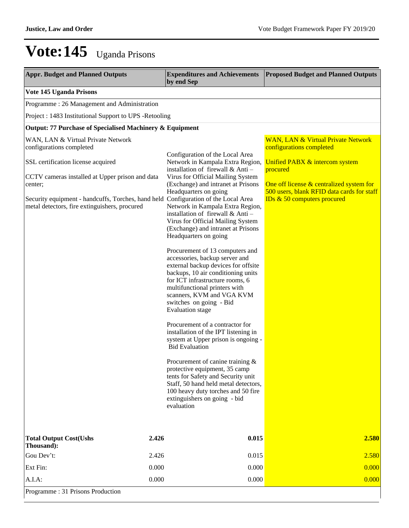| <b>Appr. Budget and Planned Outputs</b>                                                                                                                                                                                                                                                                   | <b>Expenditures and Achievements</b><br>by end Sep                                                                                                                                                                                                                                                                                                                                                                                                                                                                                                                                                                                                                                                                                                                                                                                                                                                                                                                                                                                                                                    | <b>Proposed Budget and Planned Outputs</b>                                                                                                                                                                                                       |
|-----------------------------------------------------------------------------------------------------------------------------------------------------------------------------------------------------------------------------------------------------------------------------------------------------------|---------------------------------------------------------------------------------------------------------------------------------------------------------------------------------------------------------------------------------------------------------------------------------------------------------------------------------------------------------------------------------------------------------------------------------------------------------------------------------------------------------------------------------------------------------------------------------------------------------------------------------------------------------------------------------------------------------------------------------------------------------------------------------------------------------------------------------------------------------------------------------------------------------------------------------------------------------------------------------------------------------------------------------------------------------------------------------------|--------------------------------------------------------------------------------------------------------------------------------------------------------------------------------------------------------------------------------------------------|
| Vote 145 Uganda Prisons                                                                                                                                                                                                                                                                                   |                                                                                                                                                                                                                                                                                                                                                                                                                                                                                                                                                                                                                                                                                                                                                                                                                                                                                                                                                                                                                                                                                       |                                                                                                                                                                                                                                                  |
| Programme: 26 Management and Administration                                                                                                                                                                                                                                                               |                                                                                                                                                                                                                                                                                                                                                                                                                                                                                                                                                                                                                                                                                                                                                                                                                                                                                                                                                                                                                                                                                       |                                                                                                                                                                                                                                                  |
| Project : 1483 Institutional Support to UPS -Retooling                                                                                                                                                                                                                                                    |                                                                                                                                                                                                                                                                                                                                                                                                                                                                                                                                                                                                                                                                                                                                                                                                                                                                                                                                                                                                                                                                                       |                                                                                                                                                                                                                                                  |
| <b>Output: 77 Purchase of Specialised Machinery &amp; Equipment</b>                                                                                                                                                                                                                                       |                                                                                                                                                                                                                                                                                                                                                                                                                                                                                                                                                                                                                                                                                                                                                                                                                                                                                                                                                                                                                                                                                       |                                                                                                                                                                                                                                                  |
| WAN, LAN & Virtual Private Network<br>configurations completed<br>SSL certification license acquired<br>CCTV cameras installed at Upper prison and data<br>center;<br>Security equipment - handcuffs, Torches, hand held Configuration of the Local Area<br>metal detectors, fire extinguishers, procured | Configuration of the Local Area<br>Network in Kampala Extra Region,<br>installation of firewall & Anti-<br>Virus for Official Mailing System<br>(Exchange) and intranet at Prisons<br>Headquarters on going<br>Network in Kampala Extra Region,<br>installation of firewall & Anti-<br>Virus for Official Mailing System<br>(Exchange) and intranet at Prisons<br>Headquarters on going<br>Procurement of 13 computers and<br>accessories, backup server and<br>external backup devices for offsite<br>backups, 10 air conditioning units<br>for ICT infrastructure rooms, 6<br>multifunctional printers with<br>scanners, KVM and VGA KVM<br>switches on going - Bid<br><b>Evaluation</b> stage<br>Procurement of a contractor for<br>installation of the IPT listening in<br>system at Upper prison is ongoing -<br><b>Bid Evaluation</b><br>Procurement of canine training $\&$<br>protective equipment, 35 camp<br>tents for Safety and Security unit<br>Staff, 50 hand held metal detectors,<br>100 heavy duty torches and 50 fire<br>extinguishers on going - bid<br>evaluation | <b>WAN, LAN &amp; Virtual Private Network</b><br>configurations completed<br>Unified PABX & intercom system<br>procured<br>One off license & centralized system for<br>500 users, blank RFID data cards for staff<br>IDs & 50 computers procured |
| 2.426<br><b>Total Output Cost(Ushs</b><br>Thousand):                                                                                                                                                                                                                                                      | 0.015                                                                                                                                                                                                                                                                                                                                                                                                                                                                                                                                                                                                                                                                                                                                                                                                                                                                                                                                                                                                                                                                                 | 2.580                                                                                                                                                                                                                                            |
| Gou Dev't:<br>2.426                                                                                                                                                                                                                                                                                       | 0.015                                                                                                                                                                                                                                                                                                                                                                                                                                                                                                                                                                                                                                                                                                                                                                                                                                                                                                                                                                                                                                                                                 | 2.580                                                                                                                                                                                                                                            |
| Ext Fin:<br>0.000                                                                                                                                                                                                                                                                                         | 0.000                                                                                                                                                                                                                                                                                                                                                                                                                                                                                                                                                                                                                                                                                                                                                                                                                                                                                                                                                                                                                                                                                 | 0.000                                                                                                                                                                                                                                            |
| A.I.A.<br>0.000                                                                                                                                                                                                                                                                                           | 0.000                                                                                                                                                                                                                                                                                                                                                                                                                                                                                                                                                                                                                                                                                                                                                                                                                                                                                                                                                                                                                                                                                 | 0.000                                                                                                                                                                                                                                            |
| Programme : 31 Prisons Production                                                                                                                                                                                                                                                                         |                                                                                                                                                                                                                                                                                                                                                                                                                                                                                                                                                                                                                                                                                                                                                                                                                                                                                                                                                                                                                                                                                       |                                                                                                                                                                                                                                                  |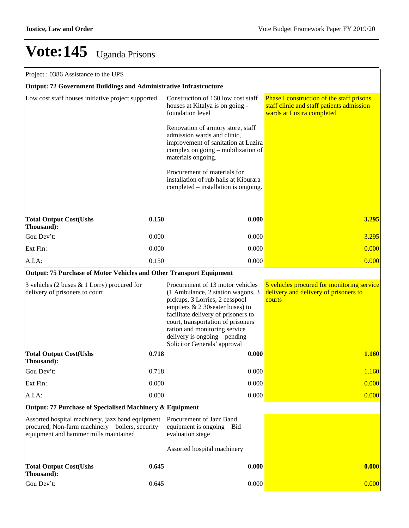| Project: 0386 Assistance to the UPS                                                                                                           |       |                                                                                                                                                                                                                                                                                                                            |                                                                                                                            |
|-----------------------------------------------------------------------------------------------------------------------------------------------|-------|----------------------------------------------------------------------------------------------------------------------------------------------------------------------------------------------------------------------------------------------------------------------------------------------------------------------------|----------------------------------------------------------------------------------------------------------------------------|
| <b>Output: 72 Government Buildings and Administrative Infrastructure</b>                                                                      |       |                                                                                                                                                                                                                                                                                                                            |                                                                                                                            |
| Low cost staff houses initiative project supported                                                                                            |       | Construction of 160 low cost staff<br>houses at Kitalya is on going -<br>foundation level                                                                                                                                                                                                                                  | <b>Phase I construction of the staff prisons</b><br>staff clinic and staff patients admission<br>wards at Luzira completed |
|                                                                                                                                               |       | Renovation of armory store, staff<br>admission wards and clinic,<br>improvement of sanitation at Luzira<br>complex on going – mobilization of<br>materials ongoing.                                                                                                                                                        |                                                                                                                            |
|                                                                                                                                               |       | Procurement of materials for<br>installation of rub halls at Kiburara<br>completed – installation is ongoing.                                                                                                                                                                                                              |                                                                                                                            |
| <b>Total Output Cost(Ushs</b><br>Thousand):                                                                                                   | 0.150 | 0.000                                                                                                                                                                                                                                                                                                                      | 3.295                                                                                                                      |
| Gou Dev't:                                                                                                                                    | 0.000 | 0.000                                                                                                                                                                                                                                                                                                                      | 3.295                                                                                                                      |
| Ext Fin:                                                                                                                                      | 0.000 | 0.000                                                                                                                                                                                                                                                                                                                      | 0.000                                                                                                                      |
| $A.I.A$ :                                                                                                                                     | 0.150 | 0.000                                                                                                                                                                                                                                                                                                                      | 0.000                                                                                                                      |
| <b>Output: 75 Purchase of Motor Vehicles and Other Transport Equipment</b>                                                                    |       |                                                                                                                                                                                                                                                                                                                            |                                                                                                                            |
| 3 vehicles (2 buses $& 1$ Lorry) procured for<br>delivery of prisoners to court                                                               |       | Procurement of 13 motor vehicles<br>(1 Ambulance, 2 station wagons, 3<br>pickups, 3 Lorries, 2 cesspool<br>emptiers & 2 30 seater buses) to<br>facilitate delivery of prisoners to<br>court, transportation of prisoners<br>ration and monitoring service<br>delivery is ongoing – pending<br>Solicitor Generals' approval | 5 vehicles procured for monitoring service<br>delivery and delivery of prisoners to<br>courts                              |
| <b>Total Output Cost(Ushs</b><br>Thousand):                                                                                                   | 0.718 | 0.000                                                                                                                                                                                                                                                                                                                      | <b>1.160</b>                                                                                                               |
| Gou Dev't:                                                                                                                                    | 0.718 | 0.000                                                                                                                                                                                                                                                                                                                      | 1.160                                                                                                                      |
| Ext Fin:                                                                                                                                      | 0.000 | 0.000                                                                                                                                                                                                                                                                                                                      | 0.000                                                                                                                      |
| $A.I.A$ :                                                                                                                                     | 0.000 | 0.000                                                                                                                                                                                                                                                                                                                      | 0.000                                                                                                                      |
| Output: 77 Purchase of Specialised Machinery & Equipment                                                                                      |       |                                                                                                                                                                                                                                                                                                                            |                                                                                                                            |
| Assorted hospital machinery, jazz band equipment<br>procured; Non-farm machinery - boilers, security<br>equipment and hammer mills maintained |       | Procurement of Jazz Band<br>equipment is ongoing – Bid<br>evaluation stage                                                                                                                                                                                                                                                 |                                                                                                                            |
|                                                                                                                                               |       | Assorted hospital machinery                                                                                                                                                                                                                                                                                                |                                                                                                                            |
| <b>Total Output Cost(Ushs</b><br>Thousand):                                                                                                   | 0.645 | 0.000                                                                                                                                                                                                                                                                                                                      | 0.000                                                                                                                      |
| Gou Dev't:                                                                                                                                    | 0.645 | 0.000                                                                                                                                                                                                                                                                                                                      | 0.000                                                                                                                      |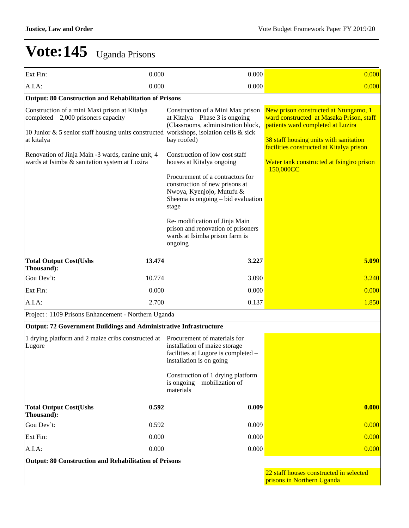| Ext Fin:                                                                                                                                                                                                                                                                                             | 0.000  | 0.000                                                                                                                                                                                                                                                                                                                                                                                                                                                 | 0.000                                                                                                                                                                                                                                                                     |
|------------------------------------------------------------------------------------------------------------------------------------------------------------------------------------------------------------------------------------------------------------------------------------------------------|--------|-------------------------------------------------------------------------------------------------------------------------------------------------------------------------------------------------------------------------------------------------------------------------------------------------------------------------------------------------------------------------------------------------------------------------------------------------------|---------------------------------------------------------------------------------------------------------------------------------------------------------------------------------------------------------------------------------------------------------------------------|
| A.I.A:                                                                                                                                                                                                                                                                                               | 0.000  | 0.000                                                                                                                                                                                                                                                                                                                                                                                                                                                 | 0.000                                                                                                                                                                                                                                                                     |
| <b>Output: 80 Construction and Rehabilitation of Prisons</b>                                                                                                                                                                                                                                         |        |                                                                                                                                                                                                                                                                                                                                                                                                                                                       |                                                                                                                                                                                                                                                                           |
| Construction of a mini Maxi prison at Kitalya<br>completed $-2,000$ prisoners capacity<br>10 Junior & 5 senior staff housing units constructed workshops, isolation cells & sick<br>at kitalya<br>Renovation of Jinja Main -3 wards, canine unit, 4<br>wards at Isimba & sanitation system at Luzira |        | Construction of a Mini Max prison<br>at Kitalya – Phase $3$ is ongoing<br>(Classrooms, administration block,<br>bay roofed)<br>Construction of low cost staff<br>houses at Kitalya ongoing<br>Procurement of a contractors for<br>construction of new prisons at<br>Nwoya, Kyenjojo, Mutufu &<br>Sheema is ongoing – bid evaluation<br>stage<br>Re-modification of Jinja Main<br>prison and renovation of prisoners<br>wards at Isimba prison farm is | New prison constructed at Ntungamo, 1<br>ward constructed at Masaka Prison, staff<br>patients ward completed at Luzira<br>38 staff housing units with sanitation<br>facilities constructed at Kitalya prison<br>Water tank constructed at Isingiro prison<br>$-150,000CC$ |
|                                                                                                                                                                                                                                                                                                      |        | ongoing                                                                                                                                                                                                                                                                                                                                                                                                                                               |                                                                                                                                                                                                                                                                           |
| <b>Total Output Cost(Ushs</b><br>Thousand):                                                                                                                                                                                                                                                          | 13.474 | 3.227                                                                                                                                                                                                                                                                                                                                                                                                                                                 | 5.090                                                                                                                                                                                                                                                                     |
| Gou Dev't:                                                                                                                                                                                                                                                                                           | 10.774 | 3.090                                                                                                                                                                                                                                                                                                                                                                                                                                                 | 3.240                                                                                                                                                                                                                                                                     |
| Ext Fin:                                                                                                                                                                                                                                                                                             | 0.000  | 0.000                                                                                                                                                                                                                                                                                                                                                                                                                                                 | 0.000                                                                                                                                                                                                                                                                     |
| $A.I.A$ :                                                                                                                                                                                                                                                                                            | 2.700  | 0.137                                                                                                                                                                                                                                                                                                                                                                                                                                                 | 1.850                                                                                                                                                                                                                                                                     |
| Project : 1109 Prisons Enhancement - Northern Uganda                                                                                                                                                                                                                                                 |        |                                                                                                                                                                                                                                                                                                                                                                                                                                                       |                                                                                                                                                                                                                                                                           |
| Output: 72 Government Buildings and Administrative Infrastructure                                                                                                                                                                                                                                    |        |                                                                                                                                                                                                                                                                                                                                                                                                                                                       |                                                                                                                                                                                                                                                                           |
| 1 drying platform and 2 maize cribs constructed at<br>Lugore                                                                                                                                                                                                                                         |        | Procurement of materials for<br>installation of maize storage<br>facilities at Lugore is completed -<br>installation is on going<br>Construction of 1 drying platform                                                                                                                                                                                                                                                                                 |                                                                                                                                                                                                                                                                           |
|                                                                                                                                                                                                                                                                                                      |        | is ongoing – mobilization of<br>materials                                                                                                                                                                                                                                                                                                                                                                                                             |                                                                                                                                                                                                                                                                           |
| <b>Total Output Cost(Ushs</b><br>Thousand):                                                                                                                                                                                                                                                          | 0.592  | 0.009                                                                                                                                                                                                                                                                                                                                                                                                                                                 | 0.000                                                                                                                                                                                                                                                                     |
| Gou Dev't:                                                                                                                                                                                                                                                                                           | 0.592  | 0.009                                                                                                                                                                                                                                                                                                                                                                                                                                                 | 0.000                                                                                                                                                                                                                                                                     |
| Ext Fin:                                                                                                                                                                                                                                                                                             | 0.000  | 0.000                                                                                                                                                                                                                                                                                                                                                                                                                                                 | 0.000                                                                                                                                                                                                                                                                     |
| $A.I.A$ :                                                                                                                                                                                                                                                                                            | 0.000  | 0.000                                                                                                                                                                                                                                                                                                                                                                                                                                                 | 0.000                                                                                                                                                                                                                                                                     |
| Output: 80 Construction and Rehabilitation of Prisons                                                                                                                                                                                                                                                |        |                                                                                                                                                                                                                                                                                                                                                                                                                                                       | 22 staff houses constructed in selected                                                                                                                                                                                                                                   |

prisons in Northern Uganda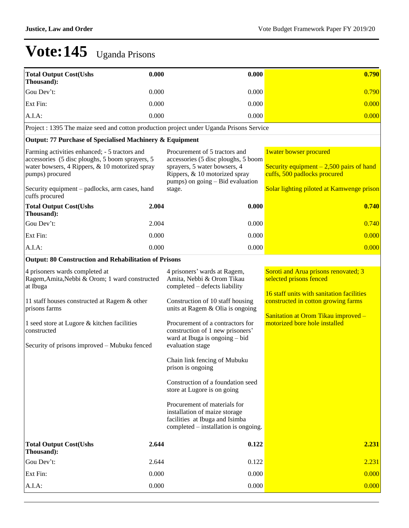| <b>Total Output Cost(Ushs</b>                                                                                                                                                                                | 0.000 | 0.000                                                                                                                                                                                                  | 0.790                                                                                                                                                                                                                       |
|--------------------------------------------------------------------------------------------------------------------------------------------------------------------------------------------------------------|-------|--------------------------------------------------------------------------------------------------------------------------------------------------------------------------------------------------------|-----------------------------------------------------------------------------------------------------------------------------------------------------------------------------------------------------------------------------|
| Thousand):<br>Gou Dev't:                                                                                                                                                                                     | 0.000 | 0.000                                                                                                                                                                                                  | 0.790                                                                                                                                                                                                                       |
| Ext Fin:                                                                                                                                                                                                     | 0.000 | 0.000                                                                                                                                                                                                  | 0.000                                                                                                                                                                                                                       |
| A.I.A:                                                                                                                                                                                                       | 0.000 | 0.000                                                                                                                                                                                                  | 0.000                                                                                                                                                                                                                       |
| Project : 1395 The maize seed and cotton production project under Uganda Prisons Service                                                                                                                     |       |                                                                                                                                                                                                        |                                                                                                                                                                                                                             |
| Output: 77 Purchase of Specialised Machinery & Equipment                                                                                                                                                     |       |                                                                                                                                                                                                        |                                                                                                                                                                                                                             |
|                                                                                                                                                                                                              |       | Procurement of 5 tractors and                                                                                                                                                                          | <b>1water bowser procured</b>                                                                                                                                                                                               |
| Farming activities enhanced; - 5 tractors and<br>accessories (5 disc ploughs, 5 boom sprayers, 5<br>water bowsers, 4 Rippers, & 10 motorized spray<br>pumps) procured                                        |       | accessories (5 disc ploughs, 5 boom<br>sprayers, 5 water bowsers, 4<br>Rippers, & 10 motorized spray<br>pumps) on going – Bid evaluation                                                               | Security equipment $-2,500$ pairs of hand<br>cuffs, 500 padlocks procured                                                                                                                                                   |
| Security equipment – padlocks, arm cases, hand<br>cuffs procured                                                                                                                                             |       | stage.                                                                                                                                                                                                 | Solar lighting piloted at Kamwenge prison                                                                                                                                                                                   |
| <b>Total Output Cost(Ushs</b><br>Thousand):                                                                                                                                                                  | 2.004 | 0.000                                                                                                                                                                                                  | 0.740                                                                                                                                                                                                                       |
| Gou Dev't:                                                                                                                                                                                                   | 2.004 | 0.000                                                                                                                                                                                                  | 0.740                                                                                                                                                                                                                       |
| Ext Fin:                                                                                                                                                                                                     | 0.000 | 0.000                                                                                                                                                                                                  | 0.000                                                                                                                                                                                                                       |
| $A.I.A$ :                                                                                                                                                                                                    | 0.000 | 0.000                                                                                                                                                                                                  | 0.000                                                                                                                                                                                                                       |
| <b>Output: 80 Construction and Rehabilitation of Prisons</b>                                                                                                                                                 |       |                                                                                                                                                                                                        |                                                                                                                                                                                                                             |
| 4 prisoners wards completed at<br>Ragem, Amita, Nebbi & Orom; 1 ward constructed<br>at Ibuga<br>11 staff houses constructed at Ragem & other<br>prisons farms<br>1 seed store at Lugore & kitchen facilities |       | 4 prisoners' wards at Ragem,<br>Amita, Nebbi & Orom Tikau<br>completed - defects liability<br>Construction of 10 staff housing<br>units at Ragem & Olia is ongoing<br>Procurement of a contractors for | Soroti and Arua prisons renovated; 3<br>selected prisons fenced<br>16 staff units with sanitation facilities<br>constructed in cotton growing farms<br>Sanitation at Orom Tikau improved -<br>motorized bore hole installed |
| constructed<br>Security of prisons improved - Mubuku fenced                                                                                                                                                  |       | construction of 1 new prisoners'<br>ward at Ibuga is ongoing – bid<br>evaluation stage<br>Chain link fencing of Mubuku                                                                                 |                                                                                                                                                                                                                             |
|                                                                                                                                                                                                              |       | prison is ongoing                                                                                                                                                                                      |                                                                                                                                                                                                                             |
|                                                                                                                                                                                                              |       | Construction of a foundation seed<br>store at Lugore is on going                                                                                                                                       |                                                                                                                                                                                                                             |
|                                                                                                                                                                                                              |       | Procurement of materials for<br>installation of maize storage<br>facilities at Ibuga and Isimba<br>completed – installation is ongoing.                                                                |                                                                                                                                                                                                                             |
| <b>Total Output Cost(Ushs</b><br>Thousand):                                                                                                                                                                  | 2.644 | 0.122                                                                                                                                                                                                  | 2.231                                                                                                                                                                                                                       |
| Gou Dev't:                                                                                                                                                                                                   | 2.644 | 0.122                                                                                                                                                                                                  | 2.231                                                                                                                                                                                                                       |
| Ext Fin:                                                                                                                                                                                                     | 0.000 | 0.000                                                                                                                                                                                                  | 0.000                                                                                                                                                                                                                       |
| A.I.A:                                                                                                                                                                                                       | 0.000 | 0.000                                                                                                                                                                                                  | 0.000                                                                                                                                                                                                                       |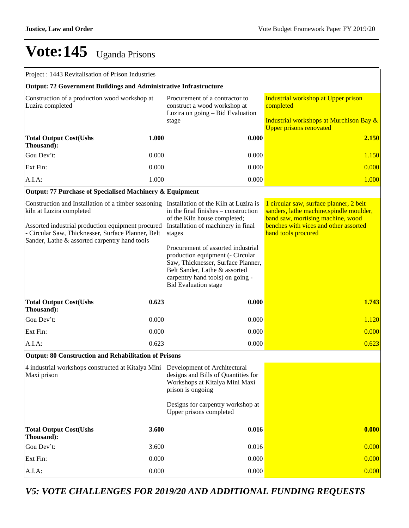| Project : 1443 Revitalisation of Prison Industries                                                                                                                                                                                                                                                                   |       |                                                                                                                                                                                                                                                                                                    |                                                                                                                                                                                          |
|----------------------------------------------------------------------------------------------------------------------------------------------------------------------------------------------------------------------------------------------------------------------------------------------------------------------|-------|----------------------------------------------------------------------------------------------------------------------------------------------------------------------------------------------------------------------------------------------------------------------------------------------------|------------------------------------------------------------------------------------------------------------------------------------------------------------------------------------------|
| <b>Output: 72 Government Buildings and Administrative Infrastructure</b>                                                                                                                                                                                                                                             |       |                                                                                                                                                                                                                                                                                                    |                                                                                                                                                                                          |
| Construction of a production wood workshop at<br>Luzira completed                                                                                                                                                                                                                                                    |       | Procurement of a contractor to<br>construct a wood workshop at<br>Luzira on going – Bid Evaluation<br>stage                                                                                                                                                                                        | Industrial workshop at Upper prison<br>completed<br><b>Industrial workshops at Murchison Bay &amp;</b>                                                                                   |
| <b>Total Output Cost(Ushs</b>                                                                                                                                                                                                                                                                                        | 1.000 | 0.000                                                                                                                                                                                                                                                                                              | <b>Upper prisons renovated</b><br>2.150                                                                                                                                                  |
| Thousand):                                                                                                                                                                                                                                                                                                           |       |                                                                                                                                                                                                                                                                                                    |                                                                                                                                                                                          |
| Gou Dev't:                                                                                                                                                                                                                                                                                                           | 0.000 | 0.000                                                                                                                                                                                                                                                                                              | 1.150                                                                                                                                                                                    |
| Ext Fin:                                                                                                                                                                                                                                                                                                             | 0.000 | 0.000                                                                                                                                                                                                                                                                                              | 0.000                                                                                                                                                                                    |
| A.I.A:                                                                                                                                                                                                                                                                                                               | 1.000 | 0.000                                                                                                                                                                                                                                                                                              | 1.000                                                                                                                                                                                    |
| Output: 77 Purchase of Specialised Machinery & Equipment                                                                                                                                                                                                                                                             |       |                                                                                                                                                                                                                                                                                                    |                                                                                                                                                                                          |
| Construction and Installation of a timber seasoning Installation of the Kiln at Luzira is<br>kiln at Luzira completed<br>Assorted industrial production equipment procured Installation of machinery in final<br>- Circular Saw, Thicknesser, Surface Planner, Belt<br>Sander, Lathe & assorted carpentry hand tools |       | in the final finishes – construction<br>of the Kiln house completed;<br>stages<br>Procurement of assorted industrial<br>production equipment (- Circular<br>Saw, Thicknesser, Surface Planner,<br>Belt Sander, Lathe & assorted<br>carpentry hand tools) on going -<br><b>Bid Evaluation stage</b> | 1 circular saw, surface planner, 2 belt<br>sanders, lathe machine, spindle moulder,<br>band saw, mortising machine, wood<br>benches with vices and other assorted<br>hand tools procured |
| <b>Total Output Cost(Ushs</b><br>Thousand):                                                                                                                                                                                                                                                                          | 0.623 | 0.000                                                                                                                                                                                                                                                                                              | 1.743                                                                                                                                                                                    |
| Gou Dev't:                                                                                                                                                                                                                                                                                                           | 0.000 | 0.000                                                                                                                                                                                                                                                                                              | 1.120                                                                                                                                                                                    |
| Ext Fin:                                                                                                                                                                                                                                                                                                             | 0.000 | 0.000                                                                                                                                                                                                                                                                                              | 0.000                                                                                                                                                                                    |
| A.I.A:                                                                                                                                                                                                                                                                                                               | 0.623 | 0.000                                                                                                                                                                                                                                                                                              | 0.623                                                                                                                                                                                    |
| <b>Output: 80 Construction and Rehabilitation of Prisons</b>                                                                                                                                                                                                                                                         |       |                                                                                                                                                                                                                                                                                                    |                                                                                                                                                                                          |
| 4 industrial workshops constructed at Kitalya Mini Development of Architectural<br>Maxi prison                                                                                                                                                                                                                       |       | designs and Bills of Quantities for<br>Workshops at Kitalya Mini Maxi<br>prison is ongoing                                                                                                                                                                                                         |                                                                                                                                                                                          |
|                                                                                                                                                                                                                                                                                                                      |       | Designs for carpentry workshop at<br>Upper prisons completed                                                                                                                                                                                                                                       |                                                                                                                                                                                          |
| <b>Total Output Cost(Ushs</b><br>Thousand):                                                                                                                                                                                                                                                                          | 3.600 | 0.016                                                                                                                                                                                                                                                                                              | 0.000                                                                                                                                                                                    |
| Gou Dev't:                                                                                                                                                                                                                                                                                                           | 3.600 | 0.016                                                                                                                                                                                                                                                                                              | 0.000                                                                                                                                                                                    |
| Ext Fin:                                                                                                                                                                                                                                                                                                             | 0.000 | 0.000                                                                                                                                                                                                                                                                                              | 0.000                                                                                                                                                                                    |
| A.I.A:                                                                                                                                                                                                                                                                                                               | 0.000 | 0.000                                                                                                                                                                                                                                                                                              | 0.000                                                                                                                                                                                    |

## *V5: VOTE CHALLENGES FOR 2019/20 AND ADDITIONAL FUNDING REQUESTS*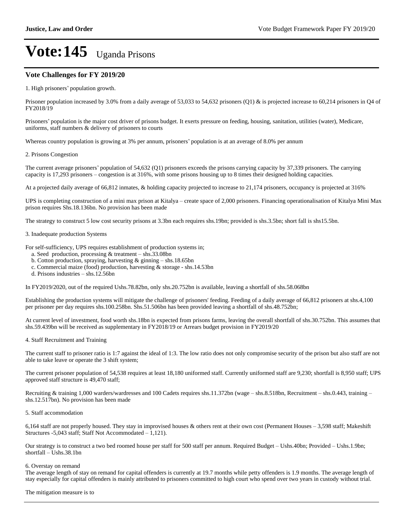### **Vote Challenges for FY 2019/20**

1. High prisoners' population growth.

Prisoner population increased by 3.0% from a daily average of 53,033 to 54,632 prisoners (Q1) & is projected increase to 60,214 prisoners in Q4 of FY2018/19

Prisoners' population is the major cost driver of prisons budget. It exerts pressure on feeding, housing, sanitation, utilities (water), Medicare, uniforms, staff numbers & delivery of prisoners to courts

Whereas country population is growing at 3% per annum, prisoners' population is at an average of 8.0% per annum

#### 2. Prisons Congestion

The current average prisoners' population of 54,632 (Q1) prisoners exceeds the prisons carrying capacity by  $37,339$  prisoners. The carrying capacity is  $17,293$  prisoners – congestion is at  $316\%$ , with some prisons housing up to 8 times their designed holding capacities.

At a projected daily average of 66,812 inmates, & holding capacity projected to increase to 21,174 prisoners, occupancy is projected at 316%

UPS is completing construction of a mini max prison at Kitalya – create space of 2,000 prisoners. Financing operationalisation of Kitalya Mini Max prison requires Shs.18.136bn. No provision has been made

The strategy to construct 5 low cost security prisons at 3.3bn each requires shs.19bn; provided is shs.3.5bn; short fall is shs15.5bn.

#### 3. Inadequate production Systems

For self-sufficiency, UPS requires establishment of production systems in;

- a. Seed production, processing  $&$  treatment  $-$  shs.33.08bn
- b. Cotton production, spraying, harvesting  $&$  ginning  $-$  shs.18.65bn
- c. Commercial maize (food) production, harvesting & storage shs.14.53bn
- d. Prisons industries shs.12.56bn

In FY2019/2020, out of the required Ushs.78.82bn, only shs.20.752bn is available, leaving a shortfall of shs.58.068bn

Establishing the production systems will mitigate the challenge of prisoners' feeding. Feeding of a daily average of 66,812 prisoners at shs.4,100 per prisoner per day requires shs.100.258bn. Shs.51.506bn has been provided leaving a shortfall of shs.48.752bn;

At current level of investment, food worth shs.18bn is expected from prisons farms, leaving the overall shortfall of shs.30.752bn. This assumes that shs.59.439bn will be received as supplementary in FY2018/19 or Arrears budget provision in FY2019/20

#### 4. Staff Recruitment and Training

The current staff to prisoner ratio is 1:7 against the ideal of 1:3. The low ratio does not only compromise security of the prison but also staff are not able to take leave or operate the 3 shift system;

The current prisoner population of 54,538 requires at least 18,180 uniformed staff. Currently uniformed staff are 9,230; shortfall is 8,950 staff; UPS approved staff structure is 49,470 staff;

Recruiting & training 1,000 warders/wardresses and 100 Cadets requires shs.11.372bn (wage  $-$  shs.8.518bn, Recruitment  $-$  shs.0.443, training  $$ shs.12.517bn). No provision has been made

#### 5. Staff accommodation

6,164 staff are not properly housed. They stay in improvised houses & others rent at their own cost (Permanent Houses - 3,598 staff; Makeshift Structures  $-5,043$  staff; Staff Not Accommodated  $-1,121$ .

Our strategy is to construct a two bed roomed house per staff for 500 staff per annum. Required Budget - Ushs.40bn; Provided - Ushs.1.9bn;  $shortfall - Ushs.38.1bn$ 

#### 6. Overstay on remand

The average length of stay on remand for capital offenders is currently at 19.7 months while petty offenders is 1.9 months. The average length of stay especially for capital offenders is mainly attributed to prisoners committed to high court who spend over two years in custody without trial.

The mitigation measure is to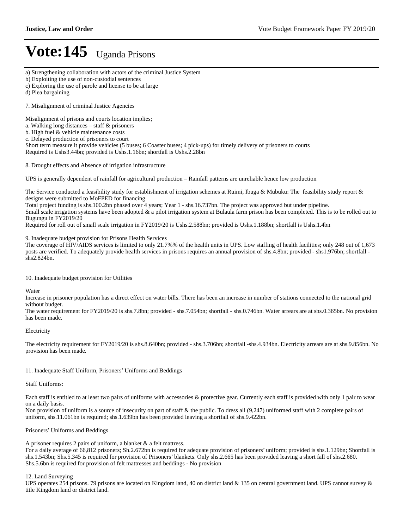- a) Strengthening collaboration with actors of the criminal Justice System
- b) Exploiting the use of non-custodial sentences
- c) Exploring the use of parole and license to be at large
- d) Plea bargaining

7. Misalignment of criminal Justice Agencies

Misalignment of prisons and courts location implies;

- a. Walking long distances  $-$  staff  $\&$  prisoners
- b. High fuel & vehicle maintenance costs
- c. Delayed production of prisoners to court

Short term measure it provide vehicles (5 buses; 6 Coaster buses; 4 pick-ups) for timely delivery of prisoners to courts Required is Ushs3.44bn; provided is Ushs.1.16bn; shortfall is Ushs.2.28bn

8. Drought effects and Absence of irrigation infrastructure

UPS is generally dependent of rainfall for agricultural production – Rainfall patterns are unreliable hence low production

The Service conducted a feasibility study for establishment of irrigation schemes at Ruimi, Ibuga & Mubuku: The feasibility study report & designs were submitted to MoFPED for financing

Total project funding is shs.100.2bn phased over 4 years; Year 1 - shs.16.737bn. The project was approved but under pipeline. Small scale irrigation systems have been adopted & a pilot irrigation system at Bulaula farm prison has been completed. This is to be rolled out to Bugungu in FY2019/20

Required for roll out of small scale irrigation in FY2019/20 is Ushs.2.588bn; provided is Ushs.1.188bn; shortfall is Ushs.1.4bn

#### 9. Inadequate budget provision for Prisons Health Services

The coverage of HIV/AIDS services is limited to only 21.7%% of the health units in UPS. Low staffing of health facilities; only 248 out of 1,673 posts are verified. To adequately provide health services in prisons requires an annual provision of shs.4.8bn; provided - shs1.976bn; shortfall shs2.824bn.

10. Inadequate budget provision for Utilities

Water

Increase in prisoner population has a direct effect on water bills. There has been an increase in number of stations connected to the national grid without budget.

The water requirement for FY2019/20 is shs.7.8bn; provided - shs.7.054bn; shortfall - shs.0.746bn. Water arrears are at shs.0.365bn. No provision has been made.

#### Electricity

The electricity requirement for FY2019/20 is shs.8.640bn; provided - shs.3.706bn; shortfall -shs.4.934bn. Electricity arrears are at shs.9.856bn. No provision has been made.

### 11. Inadequate Staff Uniform, Prisoners' Uniforms and Beddings

Staff Uniforms:

Each staff is entitled to at least two pairs of uniforms with accessories & protective gear. Currently each staff is provided with only 1 pair to wear on a daily basis.

Non provision of uniform is a source of insecurity on part of staff & the public. To dress all (9,247) uniformed staff with 2 complete pairs of uniform, shs.11.061bn is required; shs.1.639bn has been provided leaving a shortfall of shs.9.422bn.

### Prisoners' Uniforms and Beddings

A prisoner requires 2 pairs of uniform, a blanket & a felt mattress.

For a daily average of 66,812 prisoners; Sh.2.672bn is required for adequate provision of prisoners' uniform; provided is shs.1.129bn; Shortfall is shs.1.543bn; Shs.5.345 is required for provision of Prisoners' blankets. Only shs.2.665 has been provided leaving a short fall of shs.2.680. Shs.5.6bn is required for provision of felt mattresses and beddings - No provision

#### 12. Land Surveying

UPS operates 254 prisons. 79 prisons are located on Kingdom land, 40 on district land & 135 on central government land. UPS cannot survey & title Kingdom land or district land.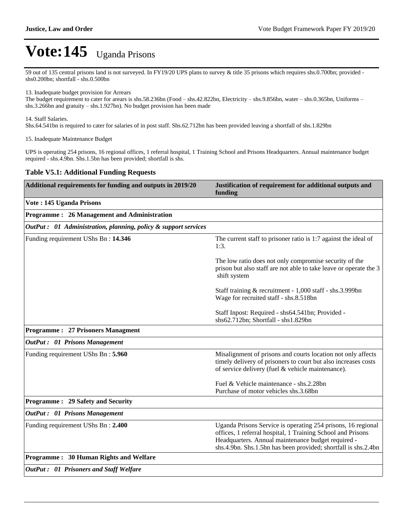59 out of 135 central prisons land is not surveyed. In FY19/20 UPS plans to survey & title 35 prisons which requires shs.0.700bn; provided shs0.200bn; shortfall - shs.0.500bn

13. Inadequate budget provision for Arrears

The budget requirement to cater for arears is shs.58.236bn (Food - shs.42.822bn, Electricity - shs.9.856bn, water - shs.0.365bn, Uniforms shs.3.266bn and gratuity  $-$  shs.1.927bn). No budget provision has been made

14. Staff Salaries.

Shs.64.541bn is required to cater for salaries of in post staff. Shs.62.712bn has been provided leaving a shortfall of shs.1.829bn

15. Inadequate Maintenance Budget

UPS is operating 254 prisons, 16 regional offices, 1 referral hospital, 1 Training School and Prisons Headquarters. Annual maintenance budget required - shs.4.9bn. Shs.1.5bn has been provided; shortfall is shs.

### **Table V5.1: Additional Funding Requests**

| Additional requirements for funding and outputs in 2019/20      | Justification of requirement for additional outputs and<br>funding                                                                                                                  |
|-----------------------------------------------------------------|-------------------------------------------------------------------------------------------------------------------------------------------------------------------------------------|
| Vote: 145 Uganda Prisons                                        |                                                                                                                                                                                     |
| Programme: 26 Management and Administration                     |                                                                                                                                                                                     |
| OutPut : 01 Administration, planning, policy & support services |                                                                                                                                                                                     |
| Funding requirement UShs Bn: 14.346                             | The current staff to prisoner ratio is 1:7 against the ideal of<br>1:3.                                                                                                             |
|                                                                 | The low ratio does not only compromise security of the<br>prison but also staff are not able to take leave or operate the 3<br>shift system                                         |
|                                                                 | Staff training & recruitment - 1,000 staff - shs.3.999bn<br>Wage for recruited staff - shs.8.518bn                                                                                  |
|                                                                 | Staff Inpost: Required - shs64.541bn; Provided -<br>shs62.712bn; Shortfall - shs1.829bn                                                                                             |
| <b>Programme: 27 Prisoners Managment</b>                        |                                                                                                                                                                                     |
| OutPut: 01 Prisons Management                                   |                                                                                                                                                                                     |
| Funding requirement UShs Bn: 5.960                              | Misalignment of prisons and courts location not only affects<br>timely delivery of prisoners to court but also increases costs<br>of service delivery (fuel & vehicle maintenance). |
|                                                                 | Fuel & Vehicle maintenance - shs.2.28bn<br>Purchase of motor vehicles shs.3.68bn                                                                                                    |
| <b>Programme: 29 Safety and Security</b>                        |                                                                                                                                                                                     |
| <b>OutPut: 01 Prisons Management</b>                            |                                                                                                                                                                                     |
| Funding requirement UShs Bn: 2.400                              | Uganda Prisons Service is operating 254 prisons, 16 regional<br>offices, 1 referral hospital, 1 Training School and Prisons<br>Headquarters. Annual maintenance budget required -   |
| Programme: 30 Human Rights and Welfare                          | shs.4.9bn. Shs.1.5bn has been provided; shortfall is shs.2.4bn                                                                                                                      |
| OutPut: 01 Prisoners and Staff Welfare                          |                                                                                                                                                                                     |
|                                                                 |                                                                                                                                                                                     |